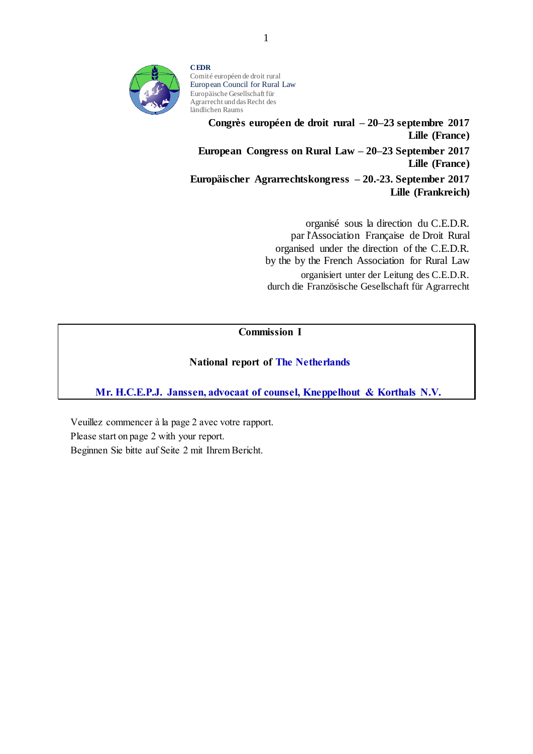

**CEDR** Comité européen de droit rural European Council for Rural Law Europäische Gesellschaft für Agrarrecht und das Recht des ländlichen Raums

**Congrès européen de droit rural – 20–23 septembre 2017 Lille (France) European Congress on Rural Law – 20–23 September 2017 Lille (France) Europäischer Agrarrechtskongress – 20.-23. September 2017 Lille (Frankreich)**

> organisé sous la direction du C.E.D.R. par l'Association Française de Droit Rural organised under the direction of the C.E.D.R. by the by the French Association for Rural Law organisiert unter der Leitung des C.E.D.R. durch die Französische Gesellschaft für Agrarrecht

# Commission I

### National report of The Netherlands

Mr. H.C.E.P.J. Janssen, advocaat of counsel, Kneppelhout & Korthals N.V.

Veuillez commencer à la page 2 avec votre rapport. Please start on page 2 with your report. Beginnen Sie bitte auf Seite 2 mit Ihrem Bericht.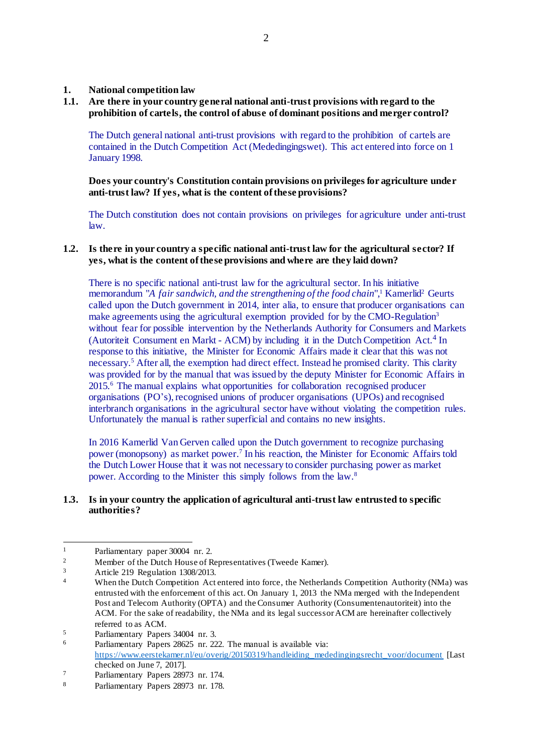**1. National competition law**

### **1.1. Are there in your country general national anti-trust provisions with regard to the prohibition of cartels, the control of abuse of dominant positions and merger control?**

The Dutch general national anti-trust provisions with regard to the prohibition of cartels are contained in the Dutch Competition Act (Mededingingswet). This act entered into force on 1 January 1998.

**Does your country's Constitution contain provisions on privileges for agriculture under anti-trust law? If yes, what is the content of these provisions?**

The Dutch constitution does not contain provisions on privileges for agriculture under anti-trust law.

### **1.2. Is there in your country a specific national anti-trust law for the agricultural sector? If yes, what is the content of these provisions and where are they laid down?**

There is no specific national anti-trust law for the agricultural sector. In his initiative memorandum "A fair sandwich, and the strengthening of the food chain",<sup>1</sup> Kamerlid<sup>2</sup> Geurts called upon the Dutch government in 2014, inter alia, to ensure that producer organisations can make agreements using the agricultural exemption provided for by the CMO-Regulation<sup>3</sup> without fear for possible intervention by the Netherlands Authority for Consumers and Markets (Autoriteit Consument en Markt - ACM) by including it in the Dutch Competition Act. 4 In response to this initiative, the Minister for Economic Affairs made it clear that this was not necessary.<sup>5</sup> After all, the exemption had direct effect. Instead he promised clarity. This clarity was provided for by the manual that was issued by the deputy Minister for Economic Affairs in 2015.<sup>6</sup> The manual explains what opportunities for collaboration recognised producer organisations (PO's), recognised unions of producer organisations (UPOs) and recognised interbranch organisations in the agricultural sector have without violating the competition rules. Unfortunately the manual is rather superficial and contains no new insights.

In 2016 Kamerlid Van Gerven called upon the Dutch government to recognize purchasing power (monopsony) as market power. 7 In his reaction, the Minister for Economic Affairs told the Dutch Lower House that it was not necessary to consider purchasing power as market power. According to the Minister this simply follows from the law.<sup>8</sup>

#### **1.3. Is in your country the application of agricultural anti-trust law entrusted to specific authorities?**

 $\overline{a}$ <sup>1</sup> Parliamentary paper 30004 nr. 2.

<sup>&</sup>lt;sup>2</sup><br>Member of the Dutch House of Representatives (Tweede Kamer).<br> $\frac{3}{2}$ 

 $\frac{3}{4}$  Article 219 Regulation 1308/2013.

When the Dutch Competition Act entered into force, the Netherlands Competition Authority (NMa) was entrusted with the enforcement of this act. On January 1, 2013 the NMa merged with the Independent Post and Telecom Authority (OPTA) and the Consumer Authority (Consumentenautoriteit) into the ACM. For the sake of readability, the NMa and its legal successor ACM are hereinafter collectively referred to as ACM.

<sup>&</sup>lt;sup>5</sup><br>Parliamentary Papers 34004 nr. 3.<br>Perliamentary Papers 28625 nr. 22

Parliamentary Papers 28625 nr. 222. The manual is available via: [https://www.eerstekamer.nl/eu/overig/20150319/handleiding\\_mededingingsrecht\\_voor/document](https://www.eerstekamer.nl/eu/overig/20150319/handleiding_mededingingsrecht_voor/document) [Last] checked on June 7, 2017].

<sup>7</sup> Parliamentary Papers 28973 nr. 174.

<sup>8</sup> Parliamentary Papers 28973 nr. 178.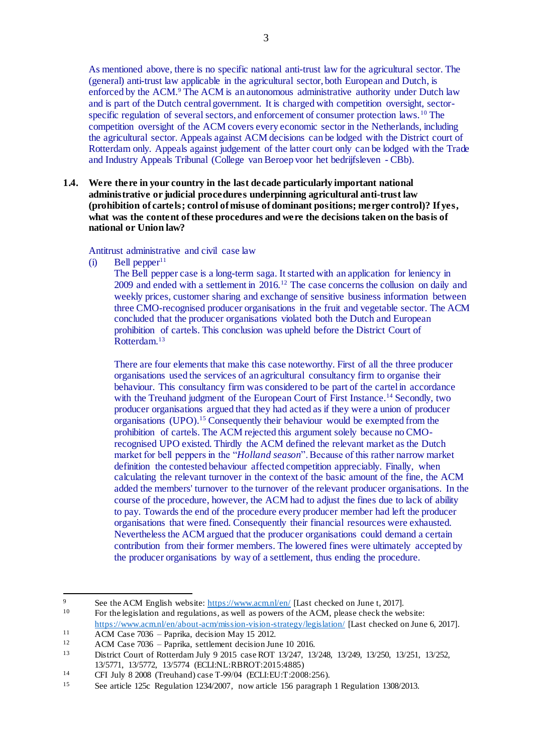As mentioned above, there is no specific national anti-trust law for the agricultural sector. The (general) anti-trust law applicable in the agricultural sector, both European and Dutch, is enforced by the ACM.<sup>9</sup> The ACM is an autonomous administrative authority under Dutch law and is part of the Dutch central government. It is charged with competition oversight, sectorspecific regulation of several sectors, and enforcement of consumer protection laws. <sup>10</sup> The competition oversight of the ACM covers every economic sector in the Netherlands, including the agricultural sector. Appeals against ACM decisions can be lodged with the District court of Rotterdam only. Appeals against judgement of the latter court only can be lodged with the Trade and Industry Appeals Tribunal (College van Beroep voor het bedrijfsleven - CBb).

**1.4. Were there in your country in the last decade particularly important national administrative or judicial procedures underpinning agricultural anti-trust law (prohibition of cartels; control of misuse of dominant positions; merger control)? If yes, what was the content of these procedures and were the decisions taken on the basis of national or Union law?**

#### Antitrust administrative and civil case law

 $(i)$  Bell pepper<sup>11</sup>

The Bell pepper case is a long-term saga. It started with an application for leniency in 2009 and ended with a settlement in 2016.<sup>12</sup> The case concerns the collusion on daily and weekly prices, customer sharing and exchange of sensitive business information between three CMO-recognised producer organisations in the fruit and vegetable sector. The ACM concluded that the producer organisations violated both the Dutch and European prohibition of cartels. This conclusion was upheld before the District Court of Rotterdam.<sup>13</sup>

There are four elements that make this case noteworthy. First of all the three producer organisations used the services of an agricultural consultancy firm to organise their behaviour. This consultancy firm was considered to be part of the cartel in accordance with the Treuhand judgment of the European Court of First Instance.<sup>14</sup> Secondly, two producer organisations argued that they had acted as if they were a union of producer organisations (UPO). <sup>15</sup> Consequently their behaviour would be exempted from the prohibition of cartels. The ACM rejected this argument solely because no CMOrecognised UPO existed. Thirdly the ACM defined the relevant market as the Dutch market for bell peppers in the "*Holland season*". Because of this rather narrow market definition the contested behaviour affected competition appreciably. Finally, when calculating the relevant turnover in the context of the basic amount of the fine, the ACM added the members' turnover to the turnover of the relevant producer organisations. In the course of the procedure, however, the ACM had to adjust the fines due to lack of ability to pay. Towards the end of the procedure every producer member had left the producer organisations that were fined. Consequently their financial resources were exhausted. Nevertheless the ACM argued that the producer organisations could demand a certain contribution from their former members. The lowered fines were ultimately accepted by the producer organisations by way of a settlement, thus ending the procedure.

 $\overline{Q}$ <sup>9</sup> See the ACM English website:  $\frac{h_{\text{t}}}{h_{\text{t}}}\frac{1}{w_{\text{w}}}\frac{1}{w_{\text{a}}}\left[\text{Last checked on June t, 2017}\right]$ .

For the legislation and regulations, as well as powers of the ACM, please check the website: <https://www.acm.nl/en/about-acm/mission-vision-strategy/legislation/> [Last checked on June 6, 2017].

<sup>11</sup>  $\overline{ACM}$  Case 7036 – Paprika, decision May 15 2012.

<sup>&</sup>lt;sup>12</sup> ACM Case 7036 – Paprika, settlement decision June 10 2016.<br><sup>13</sup> District Court of Botterdam July 9 2015 case ROT 13/247 13

<sup>13</sup> District Court of Rotterdam July 9 2015 case ROT 13/247, 13/248, 13/249, 13/250, 13/251, 13/252, 13/5771, 13/5772, 13/5774 (ECLI:NL:RBROT:2015:4885)

<sup>14</sup> CFI July 8 2008 (Treuhand) case T‑99/04 (ECLI:EU:T:2008:256).

<sup>15</sup> See article 125c Regulation 1234/2007, now article 156 paragraph 1 Regulation 1308/2013.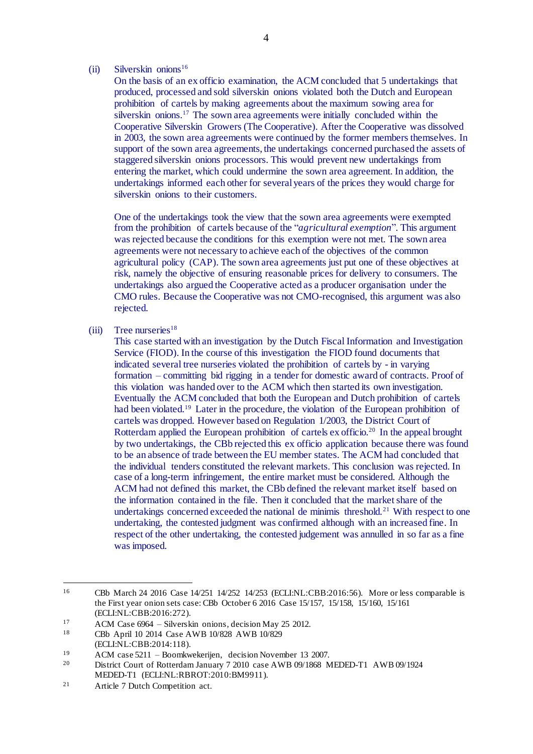#### $(ii)$  Silverskin onions<sup>16</sup>

On the basis of an ex officio examination, the ACM concluded that 5 undertakings that produced, processed and sold silverskin onions violated both the Dutch and European prohibition of cartels by making agreements about the maximum sowing area for silverskin onions. <sup>17</sup> The sown area agreements were initially concluded within the Cooperative Silverskin Growers (The Cooperative). After the Cooperative was dissolved in 2003, the sown area agreements were continued by the former members themselves. In support of the sown area agreements, the undertakings concerned purchased the assets of staggered silverskin onions processors. This would prevent new undertakings from entering the market, which could undermine the sown area agreement. In addition, the undertakings informed each other for several years of the prices they would charge for silverskin onions to their customers.

One of the undertakings took the view that the sown area agreements were exempted from the prohibition of cartels because of the "*agricultural exemption*". This argument was rejected because the conditions for this exemption were not met. The sown area agreements were not necessary to achieve each of the objectives of the common agricultural policy (CAP). The sown area agreements just put one of these objectives at risk, namely the objective of ensuring reasonable prices for delivery to consumers. The undertakings also argued the Cooperative acted as a producer organisation under the CMO rules. Because the Cooperative was not CMO-recognised, this argument was also rejected.

 $(iii)$  Tree nurseries<sup>18</sup>

This case started with an investigation by the Dutch Fiscal Information and Investigation Service (FIOD). In the course of this investigation the FIOD found documents that indicated several tree nurseries violated the prohibition of cartels by - in varying formation – committing bid rigging in a tender for domestic award of contracts. Proof of this violation was handed over to the ACM which then started its own investigation. Eventually the ACM concluded that both the European and Dutch prohibition of cartels had been violated.<sup>19</sup> Later in the procedure, the violation of the European prohibition of cartels was dropped. However based on Regulation 1/2003, the District Court of Rotterdam applied the European prohibition of cartels ex officio.<sup>20</sup> In the appeal brought by two undertakings, the CBb rejected this ex officio application because there was found to be an absence of trade between the EU member states. The ACM had concluded that the individual tenders constituted the relevant markets. This conclusion was rejected. In case of a long-term infringement, the entire market must be considered. Although the ACM had not defined this market, the CBb defined the relevant market itself based on the information contained in the file. Then it concluded that the market share of the undertakings concerned exceeded the national de minimis threshold.<sup>21</sup> With respect to one undertaking, the contested judgment was confirmed although with an increased fine. In respect of the other undertaking, the contested judgement was annulled in so far as a fine was imposed.

 $\overline{a}$ 

<sup>16</sup> CBb March 24 2016 Case 14/251 14/252 14/253 (ECLI:NL:CBB:2016:56). More or less comparable is the First year onion sets case: CBb October 6 2016 Case 15/157, 15/158, 15/160, 15/161 (ECLI:NL:CBB:2016:272).

<sup>&</sup>lt;sup>17</sup> ACM Case 6964 – Silverskin onions, decision May 25 2012.<br><sup>18</sup> CPb April 10, 2014 Case AWB 10/828, AWB 10/820

<sup>18</sup> CBb April 10 2014 Case AWB 10/828 AWB 10/829

<sup>(</sup>ECLI:NL:CBB:2014:118).

<sup>&</sup>lt;sup>19</sup> ACM case 5211 – Boomkwekerijen, decision November 13 2007.<br><sup>20</sup> District Court of Bottordam January 7 2010, case AWB 00/1868.

<sup>20</sup> District Court of Rotterdam January 7 2010 case AWB 09/1868 MEDED-T1 AWB 09/1924 MEDED-T1 (ECLI:NL:RBROT:2010:BM9911).

<sup>21</sup> Article 7 Dutch Competition act.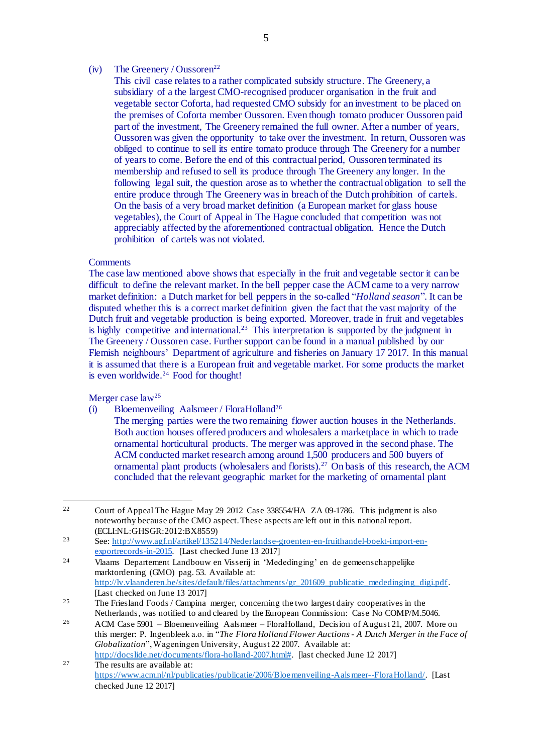#### (iv) The Greenery / Oussoren<sup>22</sup>

This civil case relates to a rather complicated subsidy structure. The Greenery, a subsidiary of a the largest CMO-recognised producer organisation in the fruit and vegetable sector Coforta, had requested CMO subsidy for an investment to be placed on the premises of Coforta member Oussoren. Even though tomato producer Oussoren paid part of the investment, The Greenery remained the full owner. After a number of years, Oussoren was given the opportunity to take over the investment. In return, Oussoren was obliged to continue to sell its entire tomato produce through The Greenery for a number of years to come. Before the end of this contractual period, Oussoren terminated its membership and refused to sell its produce through The Greenery any longer. In the following legal suit, the question arose as to whether the contractual obligation to sell the entire produce through The Greenery was in breach of the Dutch prohibition of cartels. On the basis of a very broad market definition (a European market for glass house vegetables), the Court of Appeal in The Hague concluded that competition was not appreciably affected by the aforementioned contractual obligation. Hence the Dutch prohibition of cartels was not violated.

### **Comments**

The case law mentioned above shows that especially in the fruit and vegetable sector it can be difficult to define the relevant market. In the bell pepper case the ACM came to a very narrow market definition: a Dutch market for bell peppers in the so-called "*Holland season*". It can be disputed whether this is a correct market definition given the fact that the vast majority of the Dutch fruit and vegetable production is being exported. Moreover, trade in fruit and vegetables is highly competitive and international.<sup>23</sup> This interpretation is supported by the judgment in The Greenery / Oussoren case. Further support can be found in a manual published by our Flemish neighbours' Department of agriculture and fisheries on January 17 2017. In this manual it is assumed that there is a European fruit and vegetable market. For some products the market is even worldwide.<sup>24</sup> Food for thought!

Merger case law<sup>25</sup>

- (i) Bloemenveiling Aalsmeer / FloraHolland<sup>26</sup>
	- The merging parties were the two remaining flower auction houses in the Netherlands. Both auction houses offered producers and wholesalers a marketplace in which to trade ornamental horticultural products. The merger was approved in the second phase. The ACM conducted market research among around 1,500 producers and 500 buyers of ornamental plant products (wholesalers and florists).<sup>27</sup> On basis of this research, the ACM concluded that the relevant geographic market for the marketing of ornamental plant

<sup>22</sup> <sup>22</sup> Court of Appeal The Hague May 29 2012 Case 338554/HA ZA 09-1786. This judgment is also noteworthy because of the CMO aspect. These aspects are left out in this national report. (ECLI:NL:GHSGR:2012:BX8559)

<sup>23</sup> See: [http://www.agf.nl/artikel/135214/Nederlandse-groenten-en-fruithandel-boekt-import-en](http://www.agf.nl/artikel/135214/Nederlandse-groenten-en-fruithandel-boekt-import-en-)exportrecords-in-2015. [Last checked June 13 2017]

<sup>24</sup> Vlaams Departement Landbouw en Visserij in 'Mededinging' en de gemeenschappelijke marktordening (GMO) pag. 53. Available at: http://lv.vlaanderen.be/sites/default/files/attachments/gr\_201609\_publicatie\_mededinging\_digi.pdf. [Last checked on June 13 2017]

<sup>&</sup>lt;sup>25</sup> The Friesland Foods / Campina merger, concerning the two largest dairy cooperatives in the Netherlands, was notified to and cleared by the European Commission: Case No COMP/M.5046.

<sup>26</sup> ACM Case 5901 – Bloemenveiling Aalsmeer – FloraHolland, Decision of August 21, 2007. More on this merger: P. Ingenbleek a.o. in "*The Flora Holland Flower Auctions - A Dutch Merger in the Face of Globalization*", Wageningen University, August 22 2007. Available at: [http://docslide.net/documents/flora-holland-2007.html#.](http://docslide.net/documents/flora-holland-2007.html) [last checked June 12 2017]

<sup>27</sup> The results are available at: [https://www.acm.nl/nl/publicaties/publicatie/2006/Bloemenveiling-Aals meer--FloraHolland/.](https://www.acm.nl/nl/publicaties/publicatie/2006/Bloemenveiling-Aalsmeer--FloraHolland/) [Last checked June 12 2017]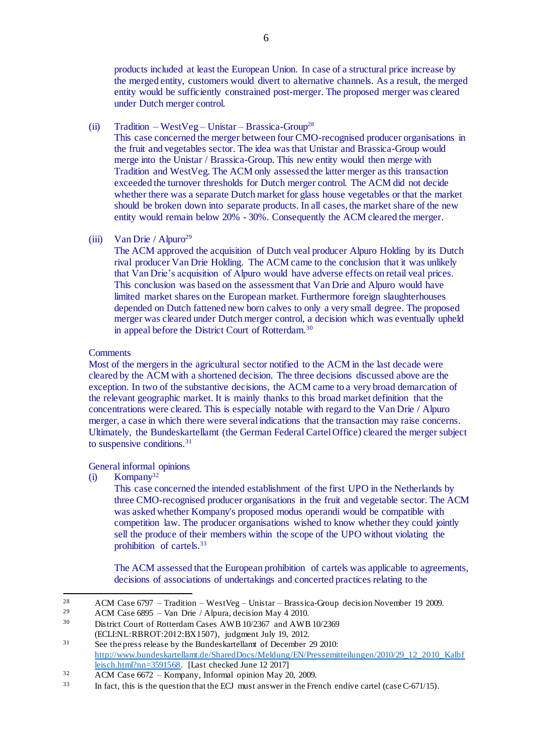products included at least the European Union. In case of a structural price increase by the merged entity, customers would divert to alternative channels. As a result, the merged entity would be sufficiently constrained post-merger. The proposed merger was cleared under Dutch merger control.

(ii)  $Tradition - WestVeg - Unistar - Brassica-Group<sup>28</sup>$ 

This case concerned the merger between four CMO-recognised producer organisations in the fruit and vegetables sector. The idea was that Unistar and Brassica-Group would merge into the Unistar / Brassica-Group. This new entity would then merge with Tradition and WestVeg. The ACM only assessed the latter merger as this transaction exceeded the turnover thresholds for Dutch merger control. The ACM did not decide whether there was a separate Dutch market for glass house vegetables or that the market should be broken down into separate products. In all cases, the market share of the new entity would remain below 20% - 30%. Consequently the ACM cleared the merger.

(iii) Van Drie / Alpuro<sup>29</sup>

The ACM approved the acquisition of Dutch veal producer Alpuro Holding by its Dutch rival producer Van Drie Holding. The ACM came to the conclusion that it was unlikely that Van Drie's acquisition of Alpuro would have adverse effects on retail veal prices. This conclusion was based on the assessment that Van Drie and Alpuro would have limited market shares on the European market. Furthermore foreign slaughterhouses depended on Dutch fattened new born calves to only a very small degree. The proposed merger was cleared under Dutch merger control, a decision which was eventually upheld in appeal before the District Court of Rotterdam.<sup>30</sup>

#### **Comments**

Most of the mergers in the agricultural sector notified to the ACM in the last decade were cleared by the ACM with a shortened decision. The three decisions discussed above are the exception. In two of the substantive decisions, the ACM came to a very broad demarcation of the relevant geographic market. It is mainly thanks to this broad market definition that the concentrations were cleared. This is especially notable with regard to the Van Drie / Alpuro merger, a case in which there were severalindications that the transaction may raise concerns. Ultimately, the Bundeskartellamt (the German Federal Cartel Office) cleared the merger subject to suspensive conditions.<sup>31</sup>

#### General informal opinions

 $(i)$  Kompany<sup>32</sup>

This case concerned the intended establishment of the first UPO in the Netherlands by three CMO-recognised producer organisations in the fruit and vegetable sector. The ACM was asked whether Kompany's proposed modus operandi would be compatible with competition law. The producer organisations wished to know whether they could jointly sell the produce of their members within the scope of the UPO without violating the prohibition of cartels. 33

The ACM assessed that the European prohibition of cartels was applicable to agreements, decisions of associations of undertakings and concerted practices relating to the

<sup>28</sup> <sup>28</sup> ACM Case 6797 – Tradition – WestVeg – Unistar – Brassica-Group decision November 19 2009.<br><sup>29</sup> ACM Case 6895 – Van Drie (Alpura decision May 4 2010.

<sup>29</sup> ACM Case 6895 – Van Drie / Alpura, decision May 4 2010.

<sup>30</sup> District Court of Rotterdam Cases AWB 10/2367 and AWB 10/2369

<sup>(</sup>ECLI:NL:RBROT:2012:BX1507), judgment July 19, 2012.

<sup>&</sup>lt;sup>31</sup> See the press release by the Bundeskartellamt of December 29 2010: [http://www.bundeskartellamt.de/SharedDocs/Meldung/EN/Pressemitteilungen/2010/29\\_12\\_2010\\_Kalbf](http://www.bundeskartellamt.de/SharedDocs/Meldung/EN/Pressemitteilungen/2010/29_12_2010_Kalbfleisch.html?nn=3591568) [leisch.html?nn=3591568.](http://www.bundeskartellamt.de/SharedDocs/Meldung/EN/Pressemitteilungen/2010/29_12_2010_Kalbfleisch.html?nn=3591568) [Last checked June 12 2017]

<sup>32</sup> ACM Case 6672 – Kompany, Informal opinion May 20, 2009.

<sup>33</sup> In fact, this is the question that the ECJ must answer in the French endive cartel (case C-671/15).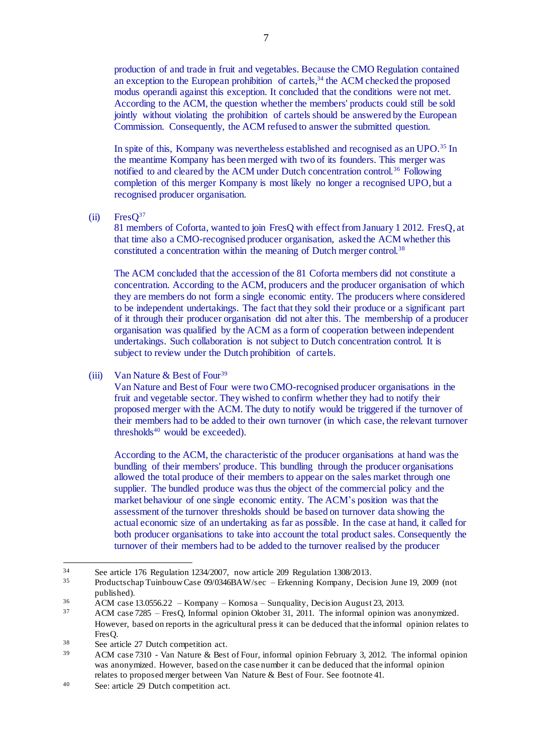production of and trade in fruit and vegetables. Because the CMO Regulation contained an exception to the European prohibition of cartels,<sup>34</sup> the ACM checked the proposed modus operandi against this exception. It concluded that the conditions were not met. According to the ACM, the question whether the members' products could still be sold jointly without violating the prohibition of cartels should be answered by the European Commission. Consequently, the ACM refused to answer the submitted question.

In spite of this, Kompany was nevertheless established and recognised as an UPO.<sup>35</sup> In the meantime Kompany has been merged with two of its founders. This merger was notified to and cleared by the ACM under Dutch concentration control.<sup>36</sup> Following completion of this merger Kompany is most likely no longer a recognised UPO, but a recognised producer organisation.

 $(ii)$  Fres $O^{37}$ 

81 members of Coforta, wanted to join FresQ with effect from January 1 2012. FresQ, at that time also a CMO-recognised producer organisation, asked the ACM whether this constituted a concentration within the meaning of Dutch merger control.<sup>38</sup>

The ACM concluded that the accession of the 81 Coforta members did not constitute a concentration. According to the ACM, producers and the producer organisation of which they are members do not form a single economic entity. The producers where considered to be independent undertakings. The fact that they sold their produce or a significant part of it through their producer organisation did not alter this. The membership of a producer organisation was qualified by the ACM as a form of cooperation between independent undertakings. Such collaboration is not subject to Dutch concentration control. It is subject to review under the Dutch prohibition of cartels.

(iii) Van Nature & Best of Four<sup>39</sup>

Van Nature and Best of Four were two CMO-recognised producer organisations in the fruit and vegetable sector. They wished to confirm whether they had to notify their proposed merger with the ACM. The duty to notify would be triggered if the turnover of their members had to be added to their own turnover (in which case, the relevant turnover thresholds $40$  would be exceeded).

According to the ACM, the characteristic of the producer organisations at hand was the bundling of their members' produce. This bundling through the producer organisations allowed the total produce of their members to appear on the sales market through one supplier. The bundled produce was thus the object of the commercial policy and the market behaviour of one single economic entity. The ACM's position was that the assessment of the turnover thresholds should be based on turnover data showing the actual economic size of an undertaking as far as possible. In the case at hand, it called for both producer organisations to take into account the total product sales. Consequently the turnover of their members had to be added to the turnover realised by the producer

 $\overline{a}$ <sup>34</sup> See article 176 Regulation 1234/2007, now article 209 Regulation 1308/2013.<br><sup>35</sup> Productschen Tujphouw Case 00/0346BAW/see Erkonning Kompany, Doci

<sup>35</sup> Productschap Tuinbouw Case 09/0346BAW/sec – Erkenning Kompany, Decision June 19, 2009 (not published).

 $\frac{36}{4}$  ACM case 13.0556.22 – Kompany – Komosa – Sunquality, Decision August 23, 2013.

<sup>37</sup> ACM case 7285 – FresQ, Informal opinion Oktober 31, 2011. The informal opinion was anonymized. However, based on reports in the agricultural press it can be deduced that the informal opinion relates to Fres<sub>O</sub>.

<sup>38</sup> See article 27 Dutch competition act.

<sup>&</sup>lt;sup>39</sup> ACM case 7310 - Van Nature & Best of Four, informal opinion February 3, 2012. The informal opinion was anonymized. However, based on the case number it can be deduced that the informal opinion relates to proposed merger between Van Nature & Best of Four. See footnote 41.

<sup>40</sup> See: article 29 Dutch competition act.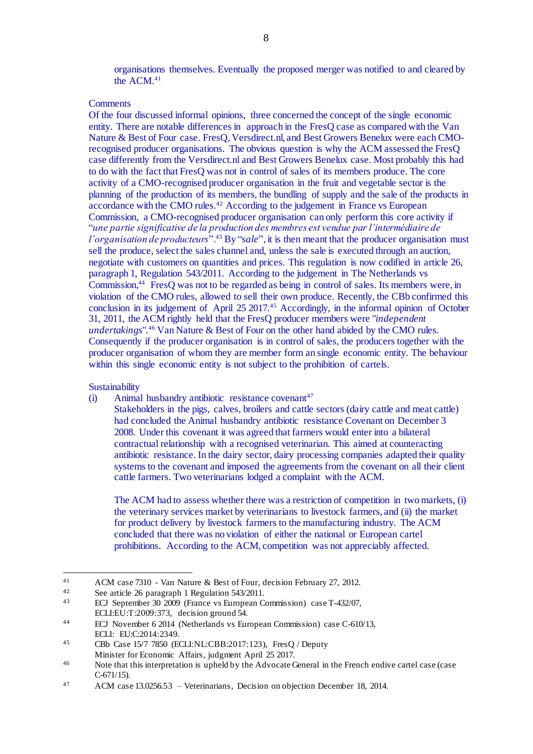organisations themselves. Eventually the proposed merger was notified to and cleared by the ACM.<sup>41</sup>

#### **Comments**

Of the four discussed informal opinions, three concerned the concept of the single economic entity. There are notable differences in approach in the FresQ case as compared with the Van Nature & Best of Four case. FresQ, Versdirect.nl, and Best Growers Benelux were each CMOrecognised producer organisations. The obvious question is why the ACM assessed the FresQ case differently from the Versdirect.nl and Best Growers Benelux case. Most probably this had to do with the fact that FresQ was not in control of sales of its members produce. The core activity of a CMO-recognised producer organisation in the fruit and vegetable sector is the planning of the production of its members, the bundling of supply and the sale of the products in accordance with the CMO rules.<sup>42</sup> According to the judgement in France vs European Commission, a CMO-recognised producer organisation can only perform this core activity if "*une partie significative de la production des membres est vendue par l'intermédiaire de l'organisation de producteurs*".<sup>43</sup> By "*sale*", it is then meant that the producer organisation must sell the produce, select the sales channel and, unless the sale is executed through an auction, negotiate with customers on quantities and prices. This regulation is now codified in article 26, paragraph 1, Regulation 543/2011. According to the judgement in The Netherlands vs Commission,<sup>44</sup> FresQ was not to be regarded as being in control of sales. Its members were, in violation of the CMO rules, allowed to sell their own produce. Recently, the CBb confirmed this conclusion in its judgement of April 25 2017.<sup>45</sup> Accordingly, in the informal opinion of October 31, 2011, the ACM rightly held that the FresQ producer members were "*independent undertakings*".<sup>46</sup> Van Nature & Best of Four on the other hand abided by the CMO rules. Consequently if the producer organisation is in control of sales, the producers together with the producer organisation of whom they are member form an single economic entity. The behaviour within this single economic entity is not subject to the prohibition of cartels.

#### Sustainability

 $\overline{a}$ 

 $(i)$  Animal husbandry antibiotic resistance covenant<sup>47</sup>

Stakeholders in the pigs, calves, broilers and cattle sectors (dairy cattle and meat cattle) had concluded the Animal husbandry antibiotic resistance Covenant on December 3 2008. Under this covenant it was agreed that farmers would enter into a bilateral contractual relationship with a recognised veterinarian. This aimed at counteracting antibiotic resistance. In the dairy sector, dairy processing companies adapted their quality systems to the covenant and imposed the agreements from the covenant on all their client cattle farmers. Two veterinarians lodged a complaint with the ACM.

The ACM had to assess whether there was a restriction of competition in two markets, (i) the veterinary services market by veterinarians to livestock farmers, and (ii) the market for product delivery by livestock farmers to the manufacturing industry. The ACM concluded that there was no violation of either the national or European cartel prohibitions. According to the ACM, competition was not appreciably affected.

<sup>41</sup> ACM case 7310 - Van Nature & Best of Four, decision February 27, 2012.<br>See article 26 paragraph 1 Requisition 543/2011

<sup>&</sup>lt;sup>42</sup> See article 26 paragraph 1 Regulation 543/2011.<br><sup>43</sup> ECL Soptember <sup>20</sup> 2000 (France vs European C

<sup>43</sup> ECJ September 30 2009 (France vs European Commission) case T-432/07, ECLI:EU:T:2009:373, decision ground 54.

<sup>44</sup> ECJ November 6 2014 (Netherlands vs European Commission) case C-610/13, ECLI: EU:C:2014:2349.

<sup>45</sup> CBb Case 15/7 7850 (ECLI:NL:CBB:2017:123), FresQ / Deputy Minister for Economic Affairs, judgment April 25 2017.

<sup>&</sup>lt;sup>46</sup> Note that this interpretation is upheld by the Advocate General in the French endive cartel case (case C-671/15).

<sup>47</sup> ACM case 13.0256.53 – Veterinarians, Decision on objection December 18, 2014.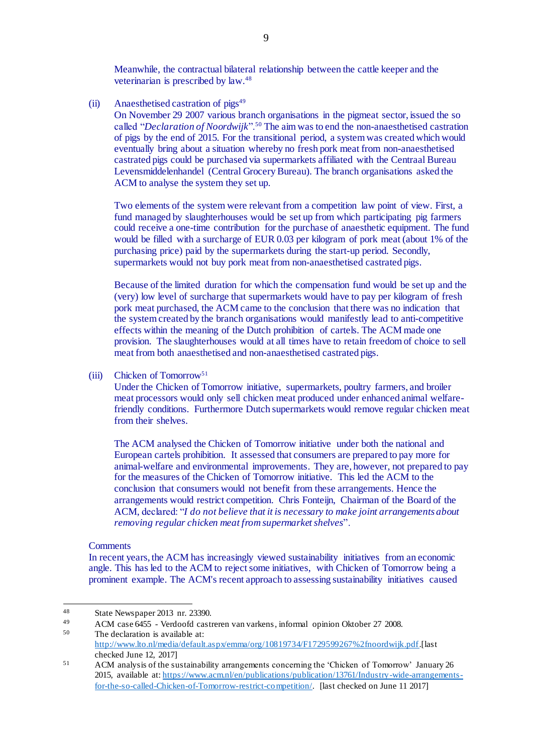Meanwhile, the contractual bilateral relationship between the cattle keeper and the veterinarian is prescribed by law. 48

(ii) Anaesthetised castration of  $pigs^{49}$ 

On November 29 2007 various branch organisations in the pigmeat sector, issued the so called "*Declaration of Noordwijk*".<sup>50</sup> The aim was to end the non-anaesthetised castration of pigs by the end of 2015. For the transitional period, a system was created which would eventually bring about a situation whereby no fresh pork meat from non-anaesthetised castrated pigs could be purchased via supermarkets affiliated with the Centraal Bureau Levensmiddelenhandel (Central Grocery Bureau). The branch organisations asked the ACM to analyse the system they set up.

Two elements of the system were relevant from a competition law point of view. First, a fund managed by slaughterhouses would be set up from which participating pig farmers could receive a one-time contribution for the purchase of anaesthetic equipment. The fund would be filled with a surcharge of EUR 0.03 per kilogram of pork meat (about 1% of the purchasing price) paid by the supermarkets during the start-up period. Secondly, supermarkets would not buy pork meat from non-anaesthetised castrated pigs.

Because of the limited duration for which the compensation fund would be set up and the (very) low level of surcharge that supermarkets would have to pay per kilogram of fresh pork meat purchased, the ACM came to the conclusion that there was no indication that the system created by the branch organisations would manifestly lead to anti-competitive effects within the meaning of the Dutch prohibition of cartels. The ACM made one provision. The slaughterhouses would at all times have to retain freedom of choice to sell meat from both anaesthetised and non-anaesthetised castrated pigs.

#### (iii) Chicken of Tomorrow<sup>51</sup>

Under the Chicken of Tomorrow initiative, supermarkets, poultry farmers, and broiler meat processors would only sell chicken meat produced under enhanced animal welfarefriendly conditions. Furthermore Dutch supermarkets would remove regular chicken meat from their shelves.

The ACM analysed the Chicken of Tomorrow initiative under both the national and European cartels prohibition. It assessed that consumers are prepared to pay more for animal-welfare and environmental improvements. They are, however, not prepared to pay for the measures of the Chicken of Tomorrow initiative. This led the ACM to the conclusion that consumers would not benefit from these arrangements. Hence the arrangements would restrict competition. Chris Fonteijn, Chairman of the Board of the ACM, declared: "*I do not believe that it is necessary to make joint arrangements about removing regular chicken meat from supermarket shelves*".

#### **Comments**

In recent years, the ACM has increasingly viewed sustainability initiatives from an economic angle. This has led to the ACM to reject some initiatives, with Chicken of Tomorrow being a prominent example. The ACM's recent approach to assessing sustainability initiatives caused

<sup>48</sup> 48 State Newspaper 2013 nr. 23390.

<sup>49</sup> ACM case 6455 - Verdoofd castreren van varkens, informal opinion Oktober 27 2008.<br>50 The decleration is available at: The declaration is available at: [http://www.lto.nl/media/default.aspx/emma/org/10819734/F1729599267%2fnoordwijk.pdf.\[](http://www.lto.nl/media/default.aspx/emma/org/10819734/F1729599267%2fnoordwijk.pdf)last

checked June 12, 2017]

<sup>51</sup> ACM analysis of the sustainability arrangements concerning the 'Chicken of Tomorrow' January 26 2015, available at: [https://www.acm.nl/en/publications/publication/13761/Industry-wide-arrangements](https://www.acm.nl/en/publications/publication/13761/Industry-wide-arrangements-for-the-so-called-Chicken-of-Tomorrow-restrict-competition/)[for-the-so-called-Chicken-of-Tomorrow-restrict-competition/.](https://www.acm.nl/en/publications/publication/13761/Industry-wide-arrangements-for-the-so-called-Chicken-of-Tomorrow-restrict-competition/) [last checked on June 11 2017]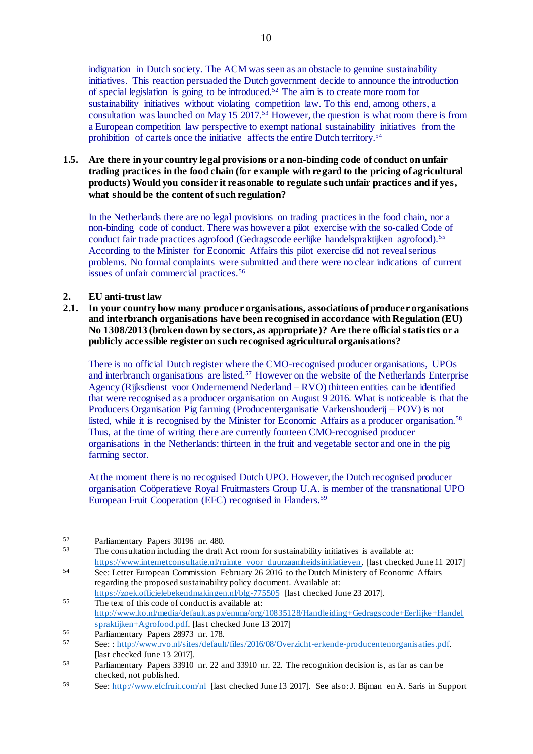indignation in Dutch society. The ACM was seen as an obstacle to genuine sustainability initiatives. This reaction persuaded the Dutch government decide to announce the introduction of special legislation is going to be introduced. <sup>52</sup> The aim is to create more room for sustainability initiatives without violating competition law. To this end, among others, a consultation was launched on May 15 2017. <sup>53</sup> However, the question is what room there is from a European competition law perspective to exempt national sustainability initiatives from the prohibition of cartels once the initiative affects the entire Dutch territory.<sup>54</sup>

### **1.5. Are there in your country legal provisions or a non-binding code of conduct on unfair trading practices in the food chain (for example with regard to the pricing of agricultural products) Would you consider it reasonable to regulate such unfair practices and if yes, what should be the content of such regulation?**

In the Netherlands there are no legal provisions on trading practices in the food chain, nor a non-binding code of conduct. There was however a pilot exercise with the so-called Code of conduct fair trade practices agrofood (Gedragscode eerlijke handelspraktijken agrofood).<sup>55</sup> According to the Minister for Economic Affairs this pilot exercise did not revealserious problems. No formal complaints were submitted and there were no clear indications of current issues of unfair commercial practices.<sup>56</sup>

## **2. EU anti-trust law**

**2.1. In your country how many producer organisations, associations of producer organisations and interbranch organisations have been recognised in accordance with Regulation (EU) No 1308/2013 (broken down by sectors, as appropriate)? Are there official statistics or a publicly accessible register on such recognised agricultural organisations?**

There is no official Dutch register where the CMO-recognised producer organisations, UPOs and interbranch organisations are listed.<sup>57</sup> However on the website of the Netherlands Enterprise Agency (Rijksdienst voor Ondernemend Nederland – RVO) thirteen entities can be identified that were recognised as a producer organisation on August 9 2016. What is noticeable is that the Producers Organisation Pig farming (Producenterganisatie Varkenshouderij – POV) is not listed, while it is recognised by the Minister for Economic Affairs as a producer organisation.<sup>58</sup> Thus, at the time of writing there are currently fourteen CMO-recognised producer organisations in the Netherlands: thirteen in the fruit and vegetable sector and one in the pig farming sector.

At the moment there is no recognised Dutch UPO. However, the Dutch recognised producer organisation Coöperatieve Royal Fruitmasters Group U.A. is member of the transnational UPO European Fruit Cooperation (EFC) recognised in Flanders.<sup>59</sup>

The consultation including the draft Act room for sustainability initiatives is available at: [https://www.internetconsultatie.nl/ruimte\\_voor\\_duurzaamheidsinitiatieven.](https://www.internetconsultatie.nl/ruimte_voor_duurzaamheidsinitiatieven) [last checked June 11 2017]

 $\overline{a}$ <sup>52</sup> Parliamentary Papers 30196 nr. 480.

<sup>54</sup> See: Letter European Commission February 26 2016 to the Dutch Ministery of Economic Affairs regarding the proposed sustainability policy document. Available at: <https://zoek.officielebekendmakingen.nl/blg-775505> [last checked June 23 2017].

<sup>55</sup> The text of this code of conduct is available at: [http://www.lto.nl/media/default.aspx/emma/org/10835128/Handleiding+Gedragscode+Eerlijke+Handel](http://www.lto.nl/media/default.aspx/emma/org/10835128/Handleiding+Gedragscode+Eerlijke+Handelspraktijken+Agrofood.pdf) [spraktijken+Agrofood.pdf.](http://www.lto.nl/media/default.aspx/emma/org/10835128/Handleiding+Gedragscode+Eerlijke+Handelspraktijken+Agrofood.pdf) [last checked June 13 2017]

<sup>&</sup>lt;sup>56</sup> Parliamentary Papers 28973 nr. 178.<br>57 Soo: http://www.ruo.pl/citos/dofault

<sup>57</sup> See: : [http://www.rvo.nl/sites/default/files/2016/08/Overzicht-erkende-producentenorganisaties.pdf.](http://www.rvo.nl/sites/default/files/2016/08/Overzicht-erkende-producentenorganisaties.pdf)  [last checked June 13 2017].

<sup>58</sup> Parliamentary Papers 33910 nr. 22 and 33910 nr. 22. The recognition decision is, as far as can be checked, not published.

<sup>59</sup> See:<http://www.efcfruit.com/nl> [last checked June 13 2017]. See also: J. Bijman en A. Saris in Support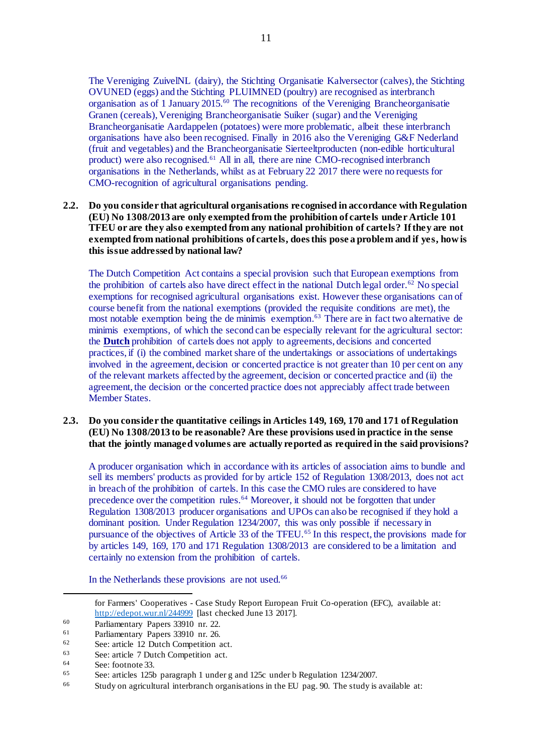The Vereniging ZuivelNL (dairy), the Stichting Organisatie Kalversector (calves), the Stichting OVUNED (eggs) and the Stichting PLUIMNED (poultry) are recognised as interbranch organisation as of 1 January 2015. <sup>60</sup> The recognitions of the Vereniging Brancheorganisatie Granen (cereals), Vereniging Brancheorganisatie Suiker (sugar) and the Vereniging Brancheorganisatie Aardappelen (potatoes) were more problematic, albeit these interbranch organisations have also been recognised. Finally in 2016 also the Vereniging G&F Nederland (fruit and vegetables) and the Brancheorganisatie Sierteeltproducten (non-edible horticultural product) were also recognised.<sup>61</sup> All in all, there are nine CMO-recognised interbranch organisations in the Netherlands, whilst as at February 22 2017 there were no requests for CMO-recognition of agricultural organisations pending.

### **2.2. Do you consider that agricultural organisations recognised in accordance with Regulation (EU) No 1308/2013 are only exempted from the prohibition of cartels under Article 101 TFEU or are they also exempted from any national prohibition of cartels? If they are not exempted from national prohibitions of cartels, does this pose a problem and if yes, how is this issue addressed by national law?**

The Dutch Competition Act contains a special provision such that European exemptions from the prohibition of cartels also have direct effect in the national Dutch legal order.<sup>62</sup> No special exemptions for recognised agricultural organisations exist. However these organisations can of course benefit from the national exemptions (provided the requisite conditions are met), the most notable exemption being the de minimis exemption. <sup>63</sup> There are in fact two alternative de minimis exemptions, of which the second can be especially relevant for the agricultural sector: the **Dutch** prohibition of cartels does not apply to agreements, decisions and concerted practices, if (i) the combined market share of the undertakings or associations of undertakings involved in the agreement, decision or concerted practice is not greater than 10 per cent on any of the relevant markets affected by the agreement, decision or concerted practice and (ii) the agreement, the decision or the concerted practice does not appreciably affect trade between Member States.

#### **2.3. Do you consider the quantitative ceilings in Articles 149, 169, 170 and 171 of Regulation (EU) No 1308/2013 to be reasonable? Are these provisions used in practice in the sense that the jointly managed volumes are actually reported as required in the said provisions?**

A producer organisation which in accordance with its articles of association aims to bundle and sell its members' products as provided for by article 152 of Regulation 1308/2013, does not act in breach of the prohibition of cartels. In this case the CMO rules are considered to have precedence over the competition rules.<sup>64</sup> Moreover, it should not be forgotten that under Regulation 1308/2013 producer organisations and UPOs can also be recognised if they hold a dominant position. Under Regulation 1234/2007, this was only possible if necessary in pursuance of the objectives of Article 33 of the TFEU.<sup>65</sup> In this respect, the provisions made for by articles 149, 169, 170 and 171 Regulation 1308/2013 are considered to be a limitation and certainly no extension from the prohibition of cartels.

In the Netherlands these provisions are not used.<sup>66</sup>

for Farmers' Cooperatives - Case Study Report European Fruit Co-operation (EFC), available at: <http://edepot.wur.nl/244999> [last checked June 13 2017].

 $\overline{a}$ 

<sup>60</sup> Parliamentary Papers 33910 nr. 22.

<sup>&</sup>lt;sup>61</sup> Parliamentary Papers 33910 nr. 26.<br><sup>62</sup> See: erticle 12 Dutch Compatition

See: article 12 Dutch Competition act.

 $63$  See: article 7 Dutch Competition act.<br> $64$  See: footnote  $33$ 

 $\begin{array}{r} 64 \text{} \end{array}$  See: footnote 33.

<sup>65</sup> See: articles 125b paragraph 1 under g and 125c under b Regulation 1234/2007.

 $66$  Study on agricultural interbranch organisations in the EU pag. 90. The study is available at: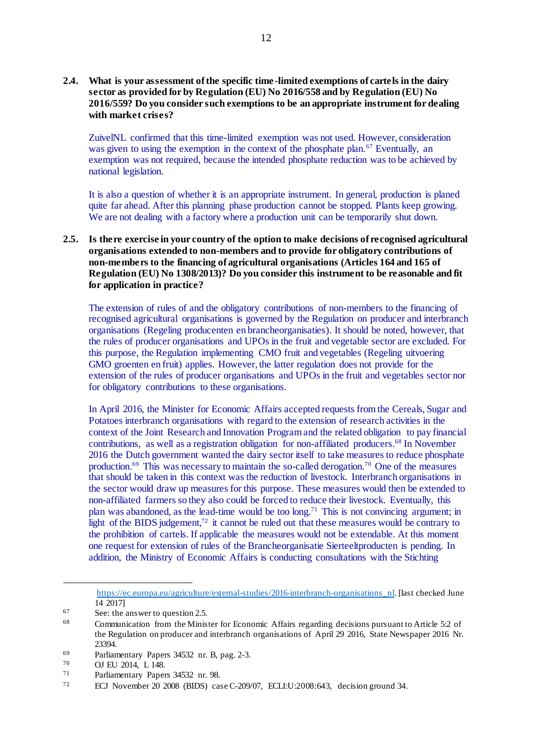### **2.4. What is your assessment of the specific time -limited exemptions of cartels in the dairy sector as provided for by Regulation (EU) No 2016/558 and by Regulation (EU) No 2016/559? Do you consider such exemptions to be an appropriate instrument for dealing with market crises?**

ZuivelNL confirmed that this time-limited exemption was not used. However, consideration was given to using the exemption in the context of the phosphate plan.<sup>67</sup> Eventually, an exemption was not required, because the intended phosphate reduction was to be achieved by national legislation.

It is also a question of whether it is an appropriate instrument. In general, production is planed quite far ahead. After this planning phase production cannot be stopped. Plants keep growing. We are not dealing with a factory where a production unit can be temporarily shut down.

### **2.5. Is there exercise in your country of the option to make decisions of recognised agricultural organisations extended to non-members and to provide for obligatory contributions of non-members to the financing of agricultural organisations (Articles 164 and 165 of Regulation (EU) No 1308/2013)? Do you consider this instrument to be reasonable and fit for application in practice?**

The extension of rules of and the obligatory contributions of non-members to the financing of recognised agricultural organisations is governed by the Regulation on producer and interbranch organisations (Regeling producenten en brancheorganisaties). It should be noted, however, that the rules of producer organisations and UPOs in the fruit and vegetable sector are excluded. For this purpose, the Regulation implementing CMO fruit and vegetables (Regeling uitvoering GMO groenten en fruit) applies. However, the latter regulation does not provide for the extension of the rules of producer organisations and UPOs in the fruit and vegetables sector nor for obligatory contributions to these organisations.

In April 2016, the Minister for Economic Affairs accepted requests from the Cereals, Sugar and Potatoes interbranch organisations with regard to the extension of research activities in the context of the Joint Research and Innovation Program and the related obligation to pay financial contributions, as well as a registration obligation for non-affiliated producers. <sup>68</sup> In November 2016 the Dutch government wanted the dairy sector itself to take measures to reduce phosphate production.<sup>69</sup> This was necessary to maintain the so-called derogation.<sup>70</sup> One of the measures that should be taken in this context was the reduction of livestock. Interbranch organisations in the sector would draw up measures for this purpose. These measures would then be extended to non-affiliated farmers so they also could be forced to reduce their livestock. Eventually, this plan was abandoned, as the lead-time would be too long.<sup>71</sup> This is not convincing argument; in light of the BIDS judgement,<sup>72</sup> it cannot be ruled out that these measures would be contrary to the prohibition of cartels. If applicable the measures would not be extendable. At this moment one request for extension of rules of the Brancheorganisatie Sierteeltproducten is pending. In addition, the Ministry of Economic Affairs is conducting consultations with the Stichting

[https://ec.europa.eu/agriculture/external-studies/2016-interbranch-organisations\\_nl.](https://ec.europa.eu/agriculture/external-studies/2016-interbranch-organisations_nl) [last checked June 14 2017]

 $\overline{a}$ 

<sup>67</sup> See: the answer to question 2.5.

<sup>68</sup> Communication from the Minister for Economic Affairs regarding decisions pursuant to Article 5:2 of the Regulation on producer and interbranch organisations of April 29 2016, State Newspaper 2016 Nr. 23394.

<sup>69</sup> Parliamentary Papers 34532 nr. B, pag. 2-3.<br>70 OI EU 2014 L 148

 $\frac{70}{71}$  OJ EU 2014, L 148.

<sup>71</sup> Parliamentary Papers 34532 nr. 98.<br>
ECL Neuember 20, 2009, CEUS), see

<sup>72</sup> ECJ November 20 2008 (BIDS) case C-209/07, ECLI:U:2008:643, decision ground 34.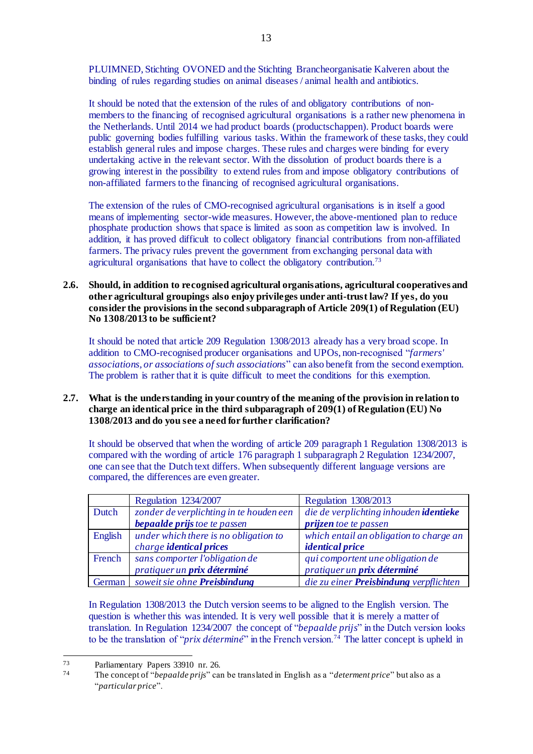PLUIMNED, Stichting OVONED and the Stichting Brancheorganisatie Kalveren about the binding of rules regarding studies on animal diseases / animal health and antibiotics.

It should be noted that the extension of the rules of and obligatory contributions of nonmembers to the financing of recognised agricultural organisations is a rather new phenomena in the Netherlands. Until 2014 we had product boards (productschappen). Product boards were public governing bodies fulfilling various tasks. Within the framework of these tasks, they could establish general rules and impose charges. These rules and charges were binding for every undertaking active in the relevant sector. With the dissolution of product boards there is a growing interest in the possibility to extend rules from and impose obligatory contributions of non-affiliated farmers to the financing of recognised agricultural organisations.

The extension of the rules of CMO-recognised agricultural organisations is in itself a good means of implementing sector-wide measures. However, the above-mentioned plan to reduce phosphate production shows that space is limited as soon as competition law is involved. In addition, it has proved difficult to collect obligatory financial contributions from non-affiliated farmers. The privacy rules prevent the government from exchanging personal data with agricultural organisations that have to collect the obligatory contribution.<sup>73</sup>

**2.6. Should, in addition to recognised agricultural organisations, agricultural cooperatives and other agricultural groupings also enjoy privileges under anti-trust law? If yes, do you consider the provisions in the second subparagraph of Article 209(1) of Regulation (EU) No 1308/2013 to be sufficient?**

It should be noted that article 209 Regulation 1308/2013 already has a very broad scope. In addition to CMO-recognised producer organisations and UPOs, non-recognised "*farmers' associations, or associations of such associations*" can also benefit from the second exemption. The problem is rather that it is quite difficult to meet the conditions for this exemption.

### **2.7. What is the understanding in your country of the meaning of the provision in relation to charge an identical price in the third subparagraph of 209(1) of Regulation (EU) No 1308/2013 and do you see a need for further clarification?**

It should be observed that when the wording of article 209 paragraph 1 Regulation 1308/2013 is compared with the wording of article 176 paragraph 1 subparagraph 2 Regulation 1234/2007, one can see that the Dutch text differs. When subsequently different language versions are compared, the differences are even greater.

|         | <b>Regulation 1234/2007</b>             | <b>Regulation 1308/2013</b>             |
|---------|-----------------------------------------|-----------------------------------------|
| Dutch   | zonder de verplichting in te houden een | die de verplichting inhouden identieke  |
|         | <b>bepaalde prijs</b> toe te passen     | <i>prijzen toe te passen</i>            |
| English | under which there is no obligation to   | which entail an obligation to charge an |
|         | charge <b>identical prices</b>          | <i>identical price</i>                  |
| French  | sans comporter l'obligation de          | qui comportent une obligation de        |
|         | pratiquer un prix déterminé             | pratiquer un prix déterminé             |
| German  | soweit sie ohne Preisbindung            | die zu einer Preisbindung verpflichten  |

In Regulation 1308/2013 the Dutch version seems to be aligned to the English version. The question is whether this was intended. It is very well possible that it is merely a matter of translation. In Regulation 1234/2007 the concept of "*bepaalde prijs*" in the Dutch version looks to be the translation of "*prix déterminé*" in the French version.<sup>74</sup> The latter concept is upheld in

<sup>73</sup> <sup>73</sup> Parliamentary Papers 33910 nr. 26.

<sup>74</sup> The concept of "*bepaalde prijs*" can be translated in English as a "*determent price*" but also as a "*particular price*".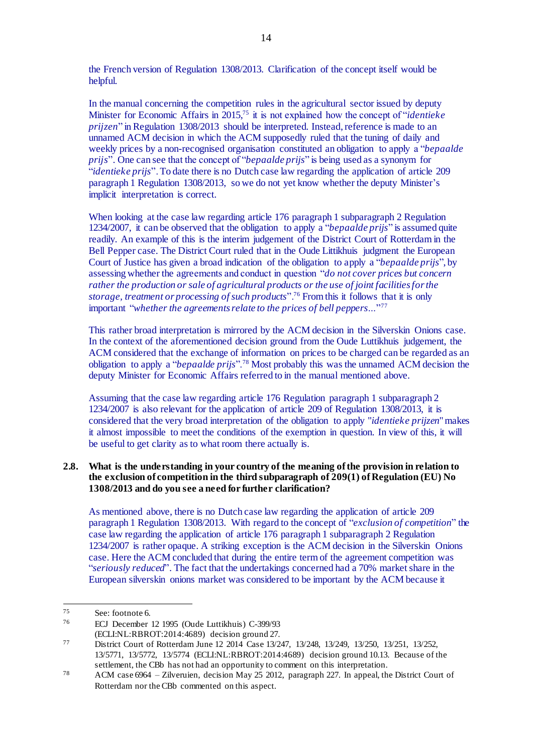the French version of Regulation 1308/2013. Clarification of the concept itself would be helpful.

In the manual concerning the competition rules in the agricultural sector issued by deputy Minister for Economic Affairs in 2015, <sup>75</sup> it is not explained how the concept of "*identieke prijzen*" in Regulation 1308/2013 should be interpreted. Instead, reference is made to an unnamed ACM decision in which the ACM supposedly ruled that the tuning of daily and weekly prices by a non-recognised organisation constituted an obligation to apply a "*bepaalde prijs*". One can see that the concept of "*bepaalde prijs*" is being used as a synonym for "*identieke prijs*". To date there is no Dutch case law regarding the application of article 209 paragraph 1 Regulation 1308/2013, so we do not yet know whether the deputy Minister's implicit interpretation is correct.

When looking at the case law regarding article 176 paragraph 1 subparagraph 2 Regulation 1234/2007, it can be observed that the obligation to apply a "*bepaalde prijs*" is assumed quite readily. An example of this is the interim judgement of the District Court of Rotterdam in the Bell Pepper case. The District Court ruled that in the Oude Littikhuis judgment the European Court of Justice has given a broad indication of the obligation to apply a "*bepaalde prijs*", by assessing whether the agreements and conduct in question "*do not cover prices but concern rather the production or sale of agricultural products or the use of joint facilities for the storage, treatment or processing of such products*".<sup>76</sup> From this it follows that it is only important "*whether the agreements relate to the prices of bell peppers…*" 77

This rather broad interpretation is mirrored by the ACM decision in the Silverskin Onions case. In the context of the aforementioned decision ground from the Oude Luttikhuis judgement, the ACM considered that the exchange of information on prices to be charged can be regarded as an obligation to apply a "*bepaalde prijs*".<sup>78</sup> Most probably this was the unnamed ACM decision the deputy Minister for Economic Affairs referred to in the manual mentioned above.

Assuming that the case law regarding article 176 Regulation paragraph 1 subparagraph 2 1234/2007 is also relevant for the application of article 209 of Regulation 1308/2013, it is considered that the very broad interpretation of the obligation to apply "*identieke prijzen*" makes it almost impossible to meet the conditions of the exemption in question. In view of this, it will be useful to get clarity as to what room there actually is.

### **2.8. What is the understanding in your country of the meaning of the provision in relation to the exclusion of competition in the third subparagraph of 209(1) of Regulation (EU) No 1308/2013 and do you see a need for further clarification?**

As mentioned above, there is no Dutch case law regarding the application of article 209 paragraph 1 Regulation 1308/2013. With regard to the concept of "*exclusion of competition*" the case law regarding the application of article 176 paragraph 1 subparagraph 2 Regulation 1234/2007 is rather opaque. A striking exception is the ACM decision in the Silverskin Onions case. Here the ACM concluded that during the entire term of the agreement competition was "*seriously reduced*". The fact that the undertakings concerned had a 70% market share in the European silverskin onions market was considered to be important by the ACM because it

<sup>75</sup> See: footnote 6.

<sup>76</sup> ECJ December 12 1995 (Oude Luttikhuis) C-399/93

<sup>(</sup>ECLI:NL:RBROT:2014:4689) decision ground 27.

<sup>77</sup> District Court of Rotterdam June 12 2014 Case 13/247, 13/248, 13/249, 13/250, 13/251, 13/252, 13/5771, 13/5772, 13/5774 (ECLI:NL:RBROT:2014:4689) decision ground 10.13. Because of the settlement, the CBb has not had an opportunity to comment on this interpretation.

<sup>78</sup> ACM case 6964 – Zilveruien, decision May 25 2012, paragraph 227. In appeal, the District Court of Rotterdam nor the CBb commented on this aspect.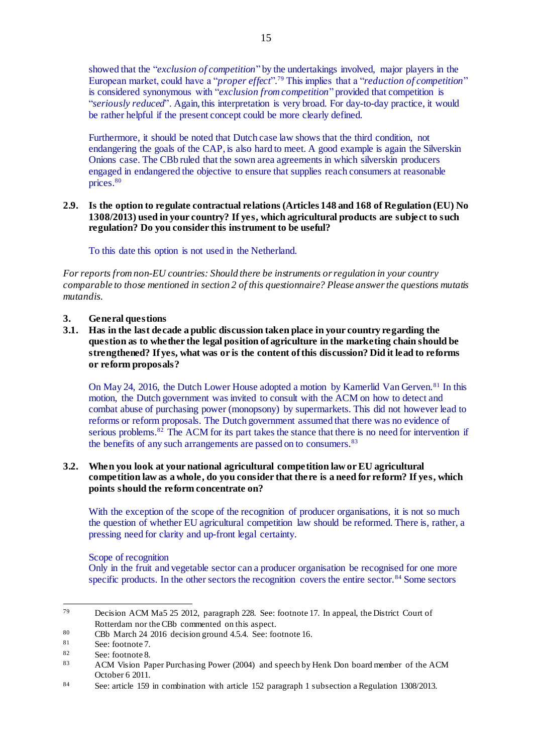showed that the "*exclusion of competition*" by the undertakings involved, major players in the European market, could have a "*proper effect*". <sup>79</sup> This implies that a "*reduction of competition*" is considered synonymous with "*exclusion from competition*" provided that competition is "*seriously reduced*". Again, this interpretation is very broad. For day-to-day practice, it would be rather helpful if the present concept could be more clearly defined.

Furthermore, it should be noted that Dutch case law shows that the third condition, not endangering the goals of the CAP, is also hard to meet. A good example is again the Silverskin Onions case. The CBb ruled that the sown area agreements in which silverskin producers engaged in endangered the objective to ensure that supplies reach consumers at reasonable prices. 80

### **2.9. Is the option to regulate contractual relations (Articles 148 and 168 of Regulation (EU) No 1308/2013) used in your country? If yes, which agricultural products are subject to such regulation? Do you consider this instrument to be useful?**

To this date this option is not used in the Netherland.

*For reports from non-EU countries: Should there be instruments or regulation in your country comparable to those mentioned in section 2 of this questionnaire? Please answer the questions mutatis mutandis.*

## **3. General questions**

**3.1. Has in the last decade a public discussion taken place in your country regarding the question as to whether the legal position of agriculture in the marketing chain should be strengthened? If yes, what was or is the content of this discussion? Did it lead to reforms or reform proposals?**

On May 24, 2016, the Dutch Lower House adopted a motion by Kamerlid Van Gerven.<sup>81</sup> In this motion, the Dutch government was invited to consult with the ACM on how to detect and combat abuse of purchasing power (monopsony) by supermarkets. This did not however lead to reforms or reform proposals. The Dutch government assumed that there was no evidence of serious problems.<sup>82</sup> The ACM for its part takes the stance that there is no need for intervention if the benefits of any such arrangements are passed on to consumers.<sup>83</sup>

## **3.2. When you look at your national agricultural competition law or EU agricultural competition law as a whole, do you consider that there is a need for reform? If yes, which points should the reform concentrate on?**

With the exception of the scope of the recognition of producer organisations, it is not so much the question of whether EU agricultural competition law should be reformed. There is, rather, a pressing need for clarity and up-front legal certainty.

# Scope of recognition

Only in the fruit and vegetable sector can a producer organisation be recognised for one more specific products. In the other sectors the recognition covers the entire sector.<sup>84</sup> Some sectors

<sup>79</sup> Decision ACM Ma5 25 2012, paragraph 228. See: footnote 17. In appeal, the District Court of Rotterdam nor the CBb commented on this aspect.

 $80$  CBb March 24 2016 decision ground 4.5.4. See: footnote 16.

See: footnote 7.

 $\begin{array}{c}\n 82 \\
 83\n \end{array}$  See: footnote 8.

<sup>83</sup> ACM Vision Paper Purchasing Power (2004) and speech by Henk Don board member of the ACM October 6 2011.

<sup>84</sup> See: article 159 in combination with article 152 paragraph 1 subsection a Regulation 1308/2013.